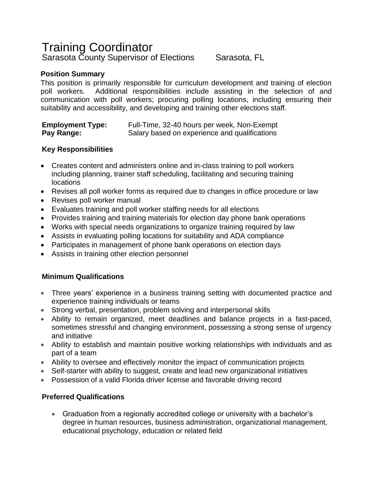# Training Coordinator Sarasota County Supervisor of Elections Sarasota, FL

# **Position Summary**

This position is primarily responsible for curriculum development and training of election poll workers. Additional responsibilities include assisting in the selection of and communication with poll workers; procuring polling locations, including ensuring their suitability and accessibility, and developing and training other elections staff.

### **Employment Type:** Full-Time, 32-40 hours per week, Non-Exempt **Pay Range:** Salary based on experience and qualifications

### **Key Responsibilities**

- Creates content and administers online and in-class training to poll workers including planning, trainer staff scheduling, facilitating and securing training locations
- Revises all poll worker forms as required due to changes in office procedure or law
- Revises poll worker manual
- Evaluates training and poll worker staffing needs for all elections
- Provides training and training materials for election day phone bank operations
- Works with special needs organizations to organize training required by law
- Assists in evaluating polling locations for suitability and ADA compliance
- Participates in management of phone bank operations on election days
- Assists in training other election personnel

## **Minimum Qualifications**

- Three years' experience in a business training setting with documented practice and experience training individuals or teams
- Strong verbal, presentation, problem solving and interpersonal skills
- Ability to remain organized, meet deadlines and balance projects in a fast-paced, sometimes stressful and changing environment, possessing a strong sense of urgency and initiative
- Ability to establish and maintain positive working relationships with individuals and as part of a team
- Ability to oversee and effectively monitor the impact of communication projects
- Self-starter with ability to suggest, create and lead new organizational initiatives
- Possession of a valid Florida driver license and favorable driving record

## **Preferred Qualifications**

• Graduation from a regionally accredited college or university with a bachelor's degree in human resources, business administration, organizational management, educational psychology, education or related field